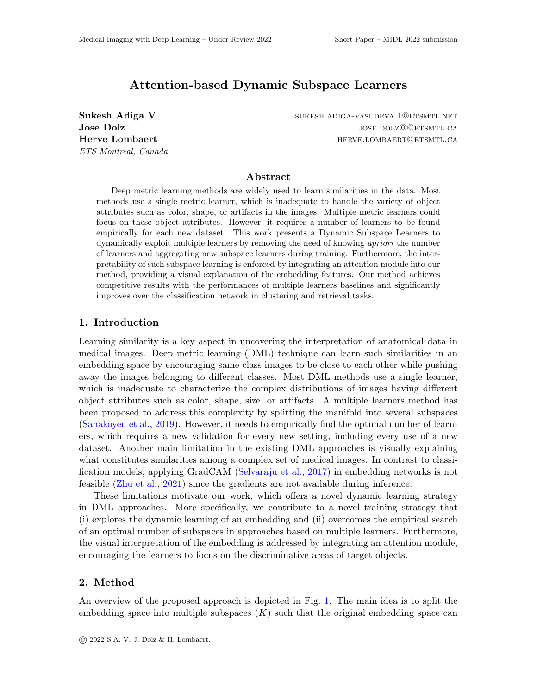# Attention-based Dynamic Subspace Learners

ETS Montreal, Canada

Sukesh Adiga V sukesh.adiga-vasudeva.1@etsmtl.net Jose Dolz **Jose Dolar** jose.dolz@@etsmtl.ca Herve Lombaert **herver and the example of the example of the example of the example of the example of the example of the example of the example of the example of the example of the example of the example of the example of** 

## Abstract

Deep metric learning methods are widely used to learn similarities in the data. Most methods use a single metric learner, which is inadequate to handle the variety of object attributes such as color, shape, or artifacts in the images. Multiple metric learners could focus on these object attributes. However, it requires a number of learners to be found empirically for each new dataset. This work presents a Dynamic Subspace Learners to dynamically exploit multiple learners by removing the need of knowing *apriori* the number of learners and aggregating new subspace learners during training. Furthermore, the interpretability of such subspace learning is enforced by integrating an attention module into our method, providing a visual explanation of the embedding features. Our method achieves competitive results with the performances of multiple learners baselines and significantly improves over the classification network in clustering and retrieval tasks.

# 1. Introduction

Learning similarity is a key aspect in uncovering the interpretation of anatomical data in medical images. Deep metric learning (DML) technique can learn such similarities in an embedding space by encouraging same class images to be close to each other while pushing away the images belonging to different classes. Most DML methods use a single learner, which is inadequate to characterize the complex distributions of images having different object attributes such as color, shape, size, or artifacts. A multiple learners method has been proposed to address this complexity by splitting the manifold into several subspaces [\(Sanakoyeu et al.,](#page-2-0) [2019\)](#page-2-0). However, it needs to empirically find the optimal number of learners, which requires a new validation for every new setting, including every use of a new dataset. Another main limitation in the existing DML approaches is visually explaining what constitutes similarities among a complex set of medical images. In contrast to classification models, applying GradCAM [\(Selvaraju et al.,](#page-2-1) [2017\)](#page-2-1) in embedding networks is not feasible [\(Zhu et al.,](#page-2-2) [2021\)](#page-2-2) since the gradients are not available during inference.

These limitations motivate our work, which offers a novel dynamic learning strategy in DML approaches. More specifically, we contribute to a novel training strategy that (i) explores the dynamic learning of an embedding and (ii) overcomes the empirical search of an optimal number of subspaces in approaches based on multiple learners. Furthermore, the visual interpretation of the embedding is addressed by integrating an attention module, encouraging the learners to focus on the discriminative areas of target objects.

#### 2. Method

An overview of the proposed approach is depicted in Fig. [1.](#page-1-0) The main idea is to split the embedding space into multiple subspaces  $(K)$  such that the original embedding space can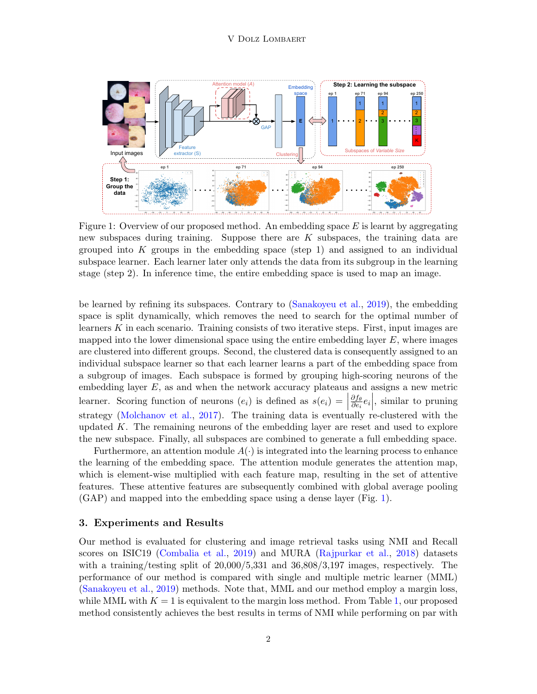<span id="page-1-0"></span>

Figure 1: Overview of our proposed method. An embedding space  $E$  is learnt by aggregating new subspaces during training. Suppose there are  $K$  subspaces, the training data are grouped into  $K$  groups in the embedding space (step 1) and assigned to an individual subspace learner. Each learner later only attends the data from its subgroup in the learning stage (step 2). In inference time, the entire embedding space is used to map an image.

be learned by refining its subspaces. Contrary to [\(Sanakoyeu et al.,](#page-2-0) [2019\)](#page-2-0), the embedding space is split dynamically, which removes the need to search for the optimal number of learners K in each scenario. Training consists of two iterative steps. First, input images are mapped into the lower dimensional space using the entire embedding layer  $E$ , where images are clustered into different groups. Second, the clustered data is consequently assigned to an individual subspace learner so that each learner learns a part of the embedding space from a subgroup of images. Each subspace is formed by grouping high-scoring neurons of the embedding layer E, as and when the network accuracy plateaus and assigns a new metric learner. Scoring function of neurons  $(e_i)$  is defined as  $s(e_i) =$ ∂f<sup>θ</sup>  $\frac{\partial f_{\theta}}{\partial e_i}e_i$ , similar to pruning strategy [\(Molchanov et al.,](#page-2-3) [2017\)](#page-2-3). The training data is eventually re-clustered with the updated  $K$ . The remaining neurons of the embedding layer are reset and used to explore the new subspace. Finally, all subspaces are combined to generate a full embedding space.

Furthermore, an attention module  $A(\cdot)$  is integrated into the learning process to enhance the learning of the embedding space. The attention module generates the attention map, which is element-wise multiplied with each feature map, resulting in the set of attentive features. These attentive features are subsequently combined with global average pooling (GAP) and mapped into the embedding space using a dense layer (Fig. [1\)](#page-1-0).

#### 3. Experiments and Results

Our method is evaluated for clustering and image retrieval tasks using NMI and Recall scores on ISIC19 [\(Combalia et al.,](#page-2-4) [2019\)](#page-2-4) and MURA [\(Rajpurkar et al.,](#page-2-5) [2018\)](#page-2-5) datasets with a training/testing split of  $20,000/5,331$  and  $36,808/3,197$  images, respectively. The performance of our method is compared with single and multiple metric learner (MML) [\(Sanakoyeu et al.,](#page-2-0) [2019\)](#page-2-0) methods. Note that, MML and our method employ a margin loss, while MML with  $K = 1$  is equivalent to the margin loss method. From Table [1,](#page-2-6) our proposed method consistently achieves the best results in terms of NMI while performing on par with